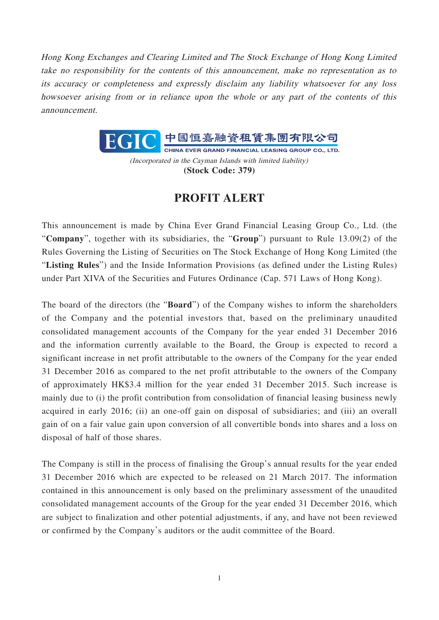Hong Kong Exchanges and Clearing Limited and The Stock Exchange of Hong Kong Limited take no responsibility for the contents of this announcement, make no representation as to its accuracy or completeness and expressly disclaim any liability whatsoever for any loss howsoever arising from or in reliance upon the whole or any part of the contents of this announcement.



(Incorporated in the Cayman Islands with limited liability) **(Stock Code: 379)**

## **PROFIT ALERT**

This announcement is made by China Ever Grand Financial Leasing Group Co., Ltd. (the "**Company**", together with its subsidiaries, the "**Group**") pursuant to Rule 13.09(2) of the Rules Governing the Listing of Securities on The Stock Exchange of Hong Kong Limited (the "**Listing Rules**") and the Inside Information Provisions (as defined under the Listing Rules) under Part XIVA of the Securities and Futures Ordinance (Cap. 571 Laws of Hong Kong).

The board of the directors (the "**Board**") of the Company wishes to inform the shareholders of the Company and the potential investors that, based on the preliminary unaudited consolidated management accounts of the Company for the year ended 31 December 2016 and the information currently available to the Board, the Group is expected to record a significant increase in net profit attributable to the owners of the Company for the year ended 31 December 2016 as compared to the net profit attributable to the owners of the Company of approximately HK\$3.4 million for the year ended 31 December 2015. Such increase is mainly due to (i) the profit contribution from consolidation of financial leasing business newly acquired in early 2016; (ii) an one-off gain on disposal of subsidiaries; and (iii) an overall gain of on a fair value gain upon conversion of all convertible bonds into shares and a loss on disposal of half of those shares.

The Company is still in the process of finalising the Group's annual results for the year ended 31 December 2016 which are expected to be released on 21 March 2017. The information contained in this announcement is only based on the preliminary assessment of the unaudited consolidated management accounts of the Group for the year ended 31 December 2016, which are subject to finalization and other potential adjustments, if any, and have not been reviewed or confirmed by the Company's auditors or the audit committee of the Board.